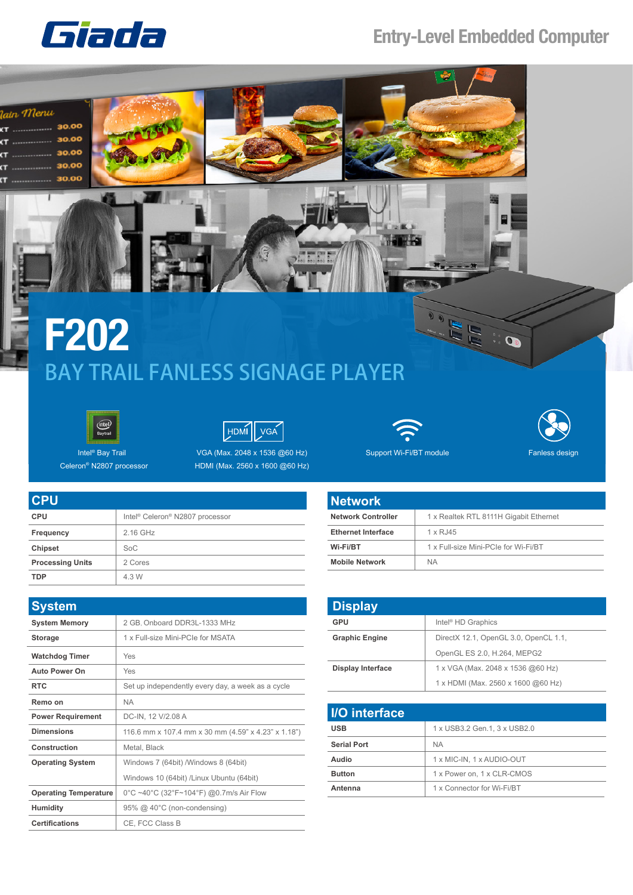

## **Entry-Level Embedded Computer**







Intel® Bay Trail Celeron® N2807 processor

**CPU CPU Frequency Chipset** 

**TDP** 4.3 W

**Processing Units** 







Fanless design

|  |                                                         | <b>Network</b>            |                |
|--|---------------------------------------------------------|---------------------------|----------------|
|  | Intel <sup>®</sup> Celeron <sup>®</sup> N2807 processor | <b>Network Controller</b> | 1 <sub>x</sub> |
|  | 2.16 GHz                                                | <b>Ethernet Interface</b> | 1 <sub>x</sub> |
|  | SoC                                                     | Wi-Fi/BT                  | 1 <sub>x</sub> |
|  | 2 Cores                                                 | <b>Mobile Network</b>     | $N_A$          |
|  | 4.3 W                                                   |                           |                |

| <b>System</b>                |                                                     |  |
|------------------------------|-----------------------------------------------------|--|
| <b>System Memory</b>         | 2 GB, Onboard DDR3L-1333 MHz                        |  |
| <b>Storage</b>               | 1 x Full-size Mini-PCIe for MSATA                   |  |
| <b>Watchdog Timer</b>        | Yes                                                 |  |
| <b>Auto Power On</b>         | Yes                                                 |  |
| <b>RTC</b>                   | Set up independently every day, a week as a cycle   |  |
| Remo on                      | <b>NA</b>                                           |  |
| <b>Power Requirement</b>     | DC-IN, 12 V/2.08 A                                  |  |
| <b>Dimensions</b>            | 116.6 mm x 107.4 mm x 30 mm (4.59" x 4.23" x 1.18") |  |
| Construction                 | Metal, Black                                        |  |
| <b>Operating System</b>      | Windows 7 (64bit) /Windows 8 (64bit)                |  |
|                              | Windows 10 (64bit) /Linux Ubuntu (64bit)            |  |
| <b>Operating Temperature</b> | 0°C ~40°C (32°F~104°F) @0.7m/s Air Flow             |  |
| <b>Humidity</b>              | 95% @ 40°C (non-condensing)                         |  |
| <b>Certifications</b>        | CE, FCC Class B                                     |  |

| <b>Network</b>            |                                        |
|---------------------------|----------------------------------------|
| <b>Network Controller</b> | 1 x Realtek RTL 8111H Gigabit Ethernet |
| <b>Ethernet Interface</b> | $1 \times R$ , 145                     |
| Wi-Fi/BT                  | 1 x Full-size Mini-PCIe for Wi-Fi/BT   |
| <b>Mobile Network</b>     | <b>NA</b>                              |

| <b>Display</b>           |                                       |  |
|--------------------------|---------------------------------------|--|
| GPU                      | Intel <sup>®</sup> HD Graphics        |  |
| <b>Graphic Engine</b>    | DirectX 12.1, OpenGL 3.0, OpenCL 1.1, |  |
|                          | OpenGL ES 2.0, H.264, MEPG2           |  |
| <b>Display Interface</b> | 1 x VGA (Max. 2048 x 1536 @60 Hz)     |  |
|                          | 1 x HDMI (Max. 2560 x 1600 @60 Hz)    |  |

| <b>I/O</b> interface |                              |  |
|----------------------|------------------------------|--|
| <b>USB</b>           | 1 x USB3.2 Gen.1, 3 x USB2.0 |  |
| <b>Serial Port</b>   | <b>NA</b>                    |  |
| <b>Audio</b>         | 1 x MIC-IN, 1 x AUDIO-OUT    |  |
| <b>Button</b>        | 1 x Power on, 1 x CLR-CMOS   |  |
| Antenna              | 1 x Connector for Wi-Fi/BT   |  |